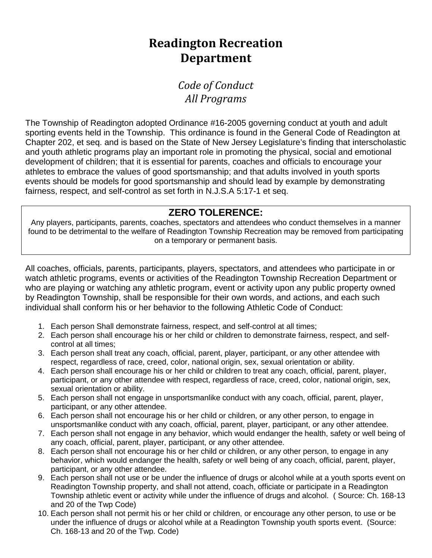## **Readington Recreation Department**

*Code of Conduct All Programs*

The Township of Readington adopted Ordinance #16-2005 governing conduct at youth and adult sporting events held in the Township. This ordinance is found in the General Code of Readington at Chapter 202, et seq. and is based on the State of New Jersey Legislature's finding that interscholastic and youth athletic programs play an important role in promoting the physical, social and emotional development of children; that it is essential for parents, coaches and officials to encourage your athletes to embrace the values of good sportsmanship; and that adults involved in youth sports events should be models for good sportsmanship and should lead by example by demonstrating fairness, respect, and self-control as set forth in N.J.S.A 5:17-1 et seq.

## **ZERO TOLERENCE:**

Any players, participants, parents, coaches, spectators and attendees who conduct themselves in a manner found to be detrimental to the welfare of Readington Township Recreation may be removed from participating on a temporary or permanent basis.

All coaches, officials, parents, participants, players, spectators, and attendees who participate in or watch athletic programs, events or activities of the Readington Township Recreation Department or who are playing or watching any athletic program, event or activity upon any public property owned by Readington Township, shall be responsible for their own words, and actions, and each such individual shall conform his or her behavior to the following Athletic Code of Conduct:

- 1. Each person Shall demonstrate fairness, respect, and self-control at all times;
- 2. Each person shall encourage his or her child or children to demonstrate fairness, respect, and selfcontrol at all times;
- 3. Each person shall treat any coach, official, parent, player, participant, or any other attendee with respect, regardless of race, creed, color, national origin, sex, sexual orientation or ability.
- 4. Each person shall encourage his or her child or children to treat any coach, official, parent, player, participant, or any other attendee with respect, regardless of race, creed, color, national origin, sex, sexual orientation or ability.
- 5. Each person shall not engage in unsportsmanlike conduct with any coach, official, parent, player, participant, or any other attendee.
- 6. Each person shall not encourage his or her child or children, or any other person, to engage in unsportsmanlike conduct with any coach, official, parent, player, participant, or any other attendee.
- 7. Each person shall not engage in any behavior, which would endanger the health, safety or well being of any coach, official, parent, player, participant, or any other attendee.
- 8. Each person shall not encourage his or her child or children, or any other person, to engage in any behavior, which would endanger the health, safety or well being of any coach, official, parent, player, participant, or any other attendee.
- 9. Each person shall not use or be under the influence of drugs or alcohol while at a youth sports event on Readington Township property, and shall not attend, coach, officiate or participate in a Readington Township athletic event or activity while under the influence of drugs and alcohol. ( Source: Ch. 168-13 and 20 of the Twp Code)
- 10. Each person shall not permit his or her child or children, or encourage any other person, to use or be under the influence of drugs or alcohol while at a Readington Township youth sports event. (Source: Ch. 168-13 and 20 of the Twp. Code)